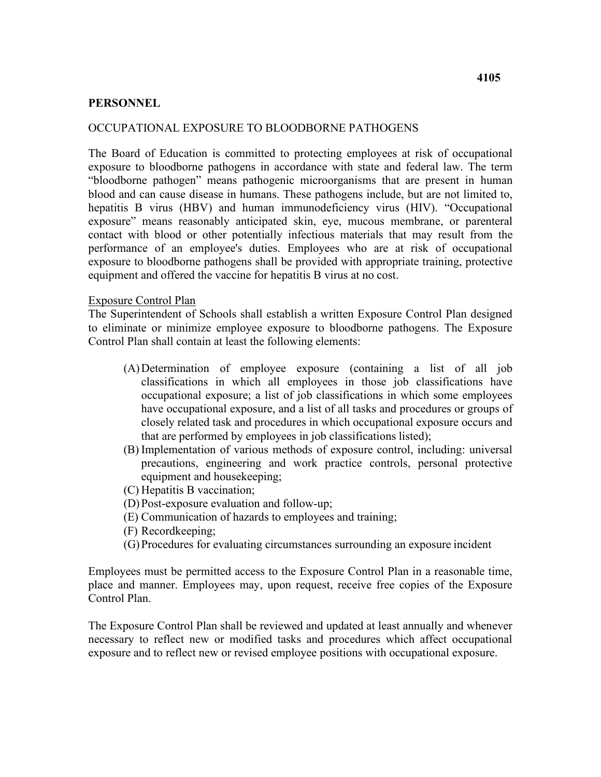#### **PERSONNEL**

#### OCCUPATIONAL EXPOSURE TO BLOODBORNE PATHOGENS

 "bloodborne pathogen" means pathogenic microorganisms that are present in human equipment and offered the vaccine for hepatitis B virus at no cost. The Board of Education is committed to protecting employees at risk of occupational exposure to bloodborne pathogens in accordance with state and federal law. The term blood and can cause disease in humans. These pathogens include, but are not limited to, hepatitis B virus (HBV) and human immunodeficiency virus (HIV). "Occupational exposure" means reasonably anticipated skin, eye, mucous membrane, or parenteral contact with blood or other potentially infectious materials that may result from the performance of an employee's duties. Employees who are at risk of occupational exposure to bloodborne pathogens shall be provided with appropriate training, protective

#### Exposure Control Plan

 Control Plan shall contain at least the following elements: The Superintendent of Schools shall establish a written Exposure Control Plan designed to eliminate or minimize employee exposure to bloodborne pathogens. The Exposure

- (A) Determination of employee exposure (containing a list of all job that are performed by employees in job classifications listed); classifications in which all employees in those job classifications have occupational exposure; a list of job classifications in which some employees have occupational exposure, and a list of all tasks and procedures or groups of closely related task and procedures in which occupational exposure occurs and
- (B) Implementation of various methods of exposure control, including: universal precautions, engineering and work practice controls, personal protective equipment and housekeeping;
- (C) Hepatitis B vaccination;
- (D) Post-exposure evaluation and follow-up;
- (E) Communication of hazards to employees and training;
- (F) Recordkeeping;
- (G) Procedures for evaluating circumstances surrounding an exposure incident

Employees must be permitted access to the Exposure Control Plan in a reasonable time, place and manner. Employees may, upon request, receive free copies of the Exposure Control Plan.

The Exposure Control Plan shall be reviewed and updated at least annually and whenever necessary to reflect new or modified tasks and procedures which affect occupational exposure and to reflect new or revised employee positions with occupational exposure.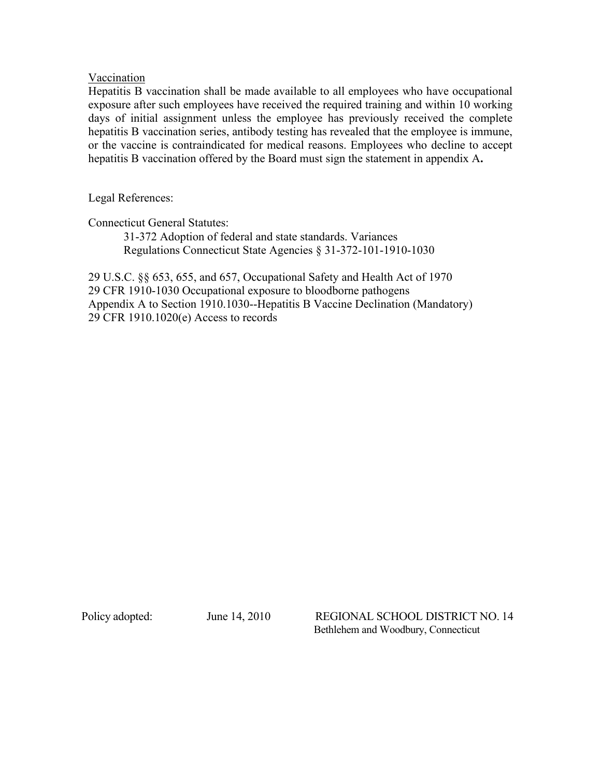### Vaccination

Hepatitis B vaccination shall be made available to all employees who have occupational exposure after such employees have received the required training and within 10 working days of initial assignment unless the employee has previously received the complete hepatitis B vaccination series, antibody testing has revealed that the employee is immune, or the vaccine is contraindicated for medical reasons. Employees who decline to accept hepatitis B vaccination offered by the Board must sign the statement in appendix A**.** 

Legal References:

Connecticut General Statutes:

31-372 Adoption of federal and state standards. Variances Regulations Connecticut State Agencies § 31-372-101-1910-1030

29 U.S.C. §§ 653, 655, and 657, Occupational Safety and Health Act of 1970 29 CFR 1910-1030 Occupational exposure to bloodborne pathogens Appendix A to Section 1910.1030--Hepatitis B Vaccine Declination (Mandatory) 29 CFR 1910.1020(e) Access to records

Policy adopted:

June 14, 2010 REGIONAL SCHOOL DISTRICT NO. 14 Bethlehem and Woodbury, Connecticut